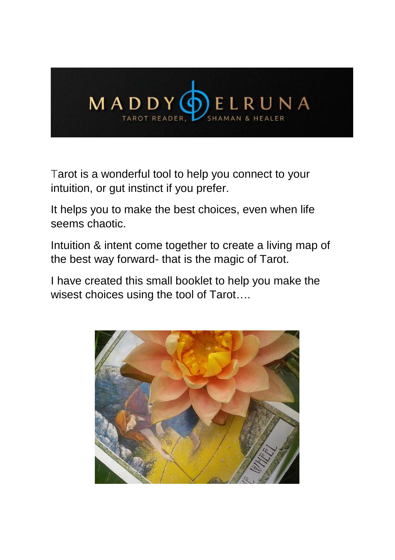

Tarot is a wonderful tool to help you connect to your intuition, or gut instinct if you prefer.

It helps you to make the best choices, even when life seems chaotic.

Intuition & intent come together to create a living map of the best way forward- that is the magic of Tarot.

I have created this small booklet to help you make the wisest choices using the tool of Tarot….

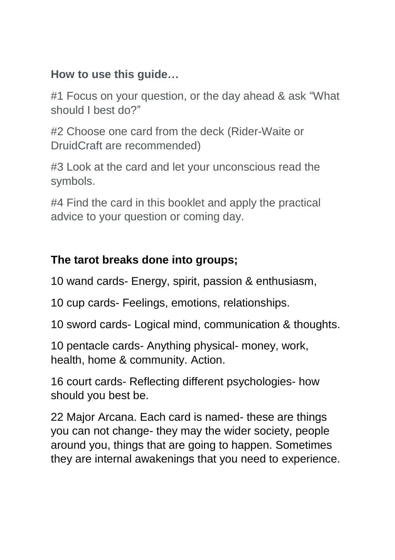## **How to use this guide…**

#1 Focus on your question, or the day ahead & ask "What should I best do?"

#2 Choose one card from the deck (Rider-Waite or DruidCraft are recommended)

#3 Look at the card and let your unconscious read the symbols.

#4 Find the card in this booklet and apply the practical advice to your question or coming day.

## **The tarot breaks done into groups;**

10 wand cards- Energy, spirit, passion & enthusiasm,

10 cup cards- Feelings, emotions, relationships.

10 sword cards- Logical mind, communication & thoughts.

10 pentacle cards- Anything physical- money, work, health, home & community. Action.

16 court cards- Reflecting different psychologies- how should you best be.

22 Major Arcana. Each card is named- these are things you can not change- they may the wider society, people around you, things that are going to happen. Sometimes they are internal awakenings that you need to experience.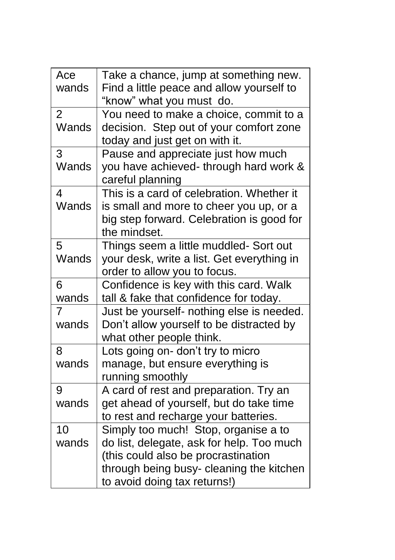| Ace<br>wands | Take a chance, jump at something new.<br>Find a little peace and allow yourself to<br>"know" what you must do.                                                                                       |
|--------------|------------------------------------------------------------------------------------------------------------------------------------------------------------------------------------------------------|
| 2<br>Wands   | You need to make a choice, commit to a<br>decision. Step out of your comfort zone<br>today and just get on with it.                                                                                  |
| 3<br>Wands   | Pause and appreciate just how much<br>you have achieved- through hard work &<br>careful planning                                                                                                     |
| 4<br>Wands   | This is a card of celebration. Whether it<br>is small and more to cheer you up, or a<br>big step forward. Celebration is good for<br>the mindset.                                                    |
| 5<br>Wands   | Things seem a little muddled- Sort out<br>your desk, write a list. Get everything in<br>order to allow you to focus.                                                                                 |
| 6<br>wands   | Confidence is key with this card. Walk<br>tall & fake that confidence for today.                                                                                                                     |
| 7<br>wands   | Just be yourself- nothing else is needed.<br>Don't allow yourself to be distracted by<br>what other people think.                                                                                    |
| 8<br>wands   | Lots going on- don't try to micro<br>manage, but ensure everything is<br>running smoothly                                                                                                            |
| 9<br>wands   | A card of rest and preparation. Try an<br>get ahead of yourself, but do take time<br>to rest and recharge your batteries.                                                                            |
| 10<br>wands  | Simply too much! Stop, organise a to<br>do list, delegate, ask for help. Too much<br>(this could also be procrastination<br>through being busy- cleaning the kitchen<br>to avoid doing tax returns!) |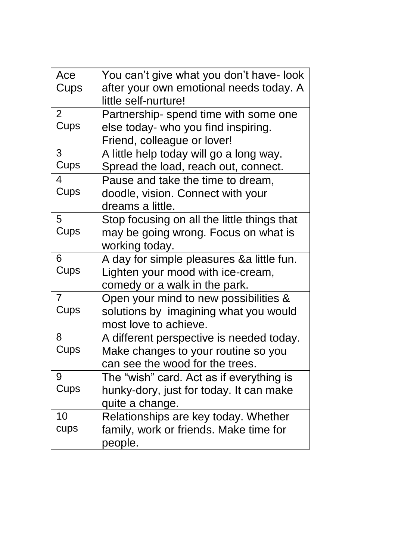| Ace<br>Cups | You can't give what you don't have- look<br>after your own emotional needs today. A<br>little self-nurture!        |
|-------------|--------------------------------------------------------------------------------------------------------------------|
| 2<br>Cups   | Partnership- spend time with some one<br>else today- who you find inspiring.<br>Friend, colleague or lover!        |
| 3<br>Cups   | A little help today will go a long way.<br>Spread the load, reach out, connect.                                    |
| 4<br>Cups   | Pause and take the time to dream,<br>doodle, vision. Connect with your<br>dreams a little.                         |
| 5<br>Cups   | Stop focusing on all the little things that<br>may be going wrong. Focus on what is<br>working today.              |
| 6<br>Cups   | A day for simple pleasures & a little fun.<br>Lighten your mood with ice-cream,<br>comedy or a walk in the park.   |
| 7<br>Cups   | Open your mind to new possibilities &<br>solutions by imagining what you would<br>most love to achieve.            |
| 8<br>Cups   | A different perspective is needed today.<br>Make changes to your routine so you<br>can see the wood for the trees. |
| 9<br>Cups   | The "wish" card. Act as if everything is<br>hunky-dory, just for today. It can make<br>quite a change.             |
| 10<br>cups  | Relationships are key today. Whether<br>family, work or friends. Make time for<br>people.                          |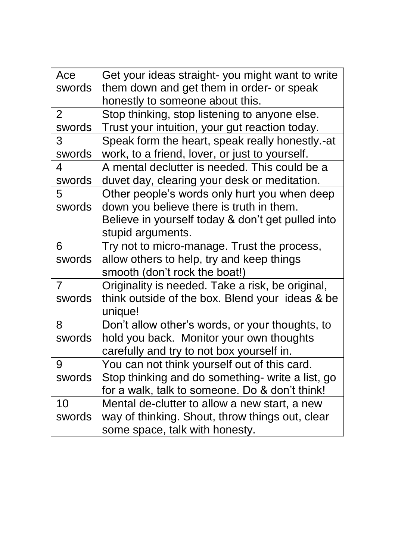| Ace            | Get your ideas straight- you might want to write  |
|----------------|---------------------------------------------------|
| swords         | them down and get them in order- or speak         |
|                | honestly to someone about this.                   |
| $\overline{2}$ | Stop thinking, stop listening to anyone else.     |
| swords         | Trust your intuition, your gut reaction today.    |
| 3              | Speak form the heart, speak really honestly.-at   |
| swords         | work, to a friend, lover, or just to yourself.    |
| 4              | A mental declutter is needed. This could be a     |
| swords         | duvet day, clearing your desk or meditation.      |
| 5              | Other people's words only hurt you when deep      |
| swords         | down you believe there is truth in them.          |
|                | Believe in yourself today & don't get pulled into |
|                | stupid arguments.                                 |
| 6              | Try not to micro-manage. Trust the process,       |
| swords         | allow others to help, try and keep things         |
|                | smooth (don't rock the boat!)                     |
| $\overline{7}$ | Originality is needed. Take a risk, be original,  |
| swords         | think outside of the box. Blend your ideas & be   |
|                | unique!                                           |
| 8              | Don't allow other's words, or your thoughts, to   |
| swords         | hold you back. Monitor your own thoughts          |
|                | carefully and try to not box yourself in.         |
| 9              | You can not think yourself out of this card.      |
| swords         | Stop thinking and do something- write a list, go  |
|                | for a walk, talk to someone. Do & don't think!    |
| 10             | Mental de-clutter to allow a new start, a new     |
| swords         | way of thinking. Shout, throw things out, clear   |
|                | some space, talk with honesty.                    |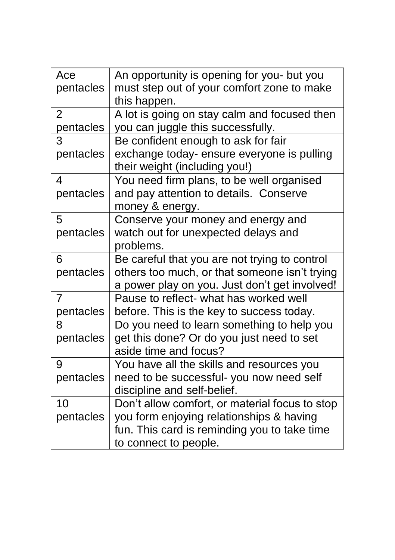| Ace            | An opportunity is opening for you- but you     |
|----------------|------------------------------------------------|
| pentacles      | must step out of your comfort zone to make     |
|                | this happen.                                   |
| $\overline{2}$ | A lot is going on stay calm and focused then   |
| pentacles      | you can juggle this successfully.              |
| 3              | Be confident enough to ask for fair            |
| pentacles      | exchange today- ensure everyone is pulling     |
|                | their weight (including you!)                  |
| 4              | You need firm plans, to be well organised      |
| pentacles      | and pay attention to details. Conserve         |
|                | money & energy.                                |
| 5              | Conserve your money and energy and             |
| pentacles      | watch out for unexpected delays and            |
|                | problems.                                      |
| 6              | Be careful that you are not trying to control  |
| pentacles      | others too much, or that someone isn't trying  |
|                | a power play on you. Just don't get involved!  |
| 7              | Pause to reflect- what has worked well         |
| pentacles      | before. This is the key to success today.      |
| 8              | Do you need to learn something to help you     |
| pentacles      | get this done? Or do you just need to set      |
|                | aside time and focus?                          |
| 9              | You have all the skills and resources you      |
| pentacles      | need to be successful-you now need self        |
|                | discipline and self-belief.                    |
| 10             | Don't allow comfort, or material focus to stop |
| pentacles      | you form enjoying relationships & having       |
|                | fun. This card is reminding you to take time   |
|                | to connect to people.                          |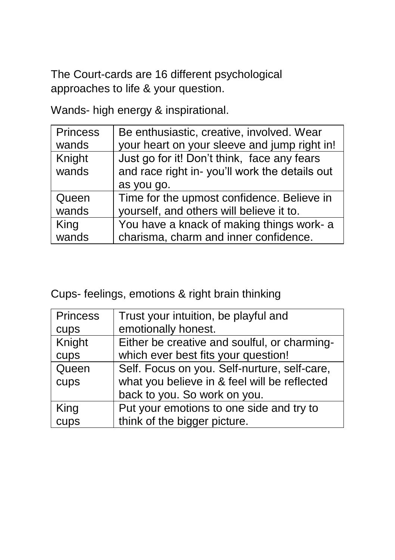The Court-cards are 16 different psychological approaches to life & your question.

Wands- high energy & inspirational.

| <b>Princess</b> | Be enthusiastic, creative, involved. Wear     |
|-----------------|-----------------------------------------------|
| wands           | your heart on your sleeve and jump right in!  |
| Knight          | Just go for it! Don't think, face any fears   |
| wands           | and race right in-you'll work the details out |
|                 | as you go.                                    |
| Queen           | Time for the upmost confidence. Believe in    |
| wands           | yourself, and others will believe it to.      |
| King            | You have a knack of making things work- a     |
| wands           | charisma, charm and inner confidence.         |

Cups- feelings, emotions & right brain thinking

| <b>Princess</b> | Trust your intuition, be playful and         |
|-----------------|----------------------------------------------|
| cups            | emotionally honest.                          |
| Knight          | Either be creative and soulful, or charming- |
| cups            | which ever best fits your question!          |
| Queen           | Self. Focus on you. Self-nurture, self-care, |
| cups            | what you believe in & feel will be reflected |
|                 | back to you. So work on you.                 |
| King            | Put your emotions to one side and try to     |
| cups            | think of the bigger picture.                 |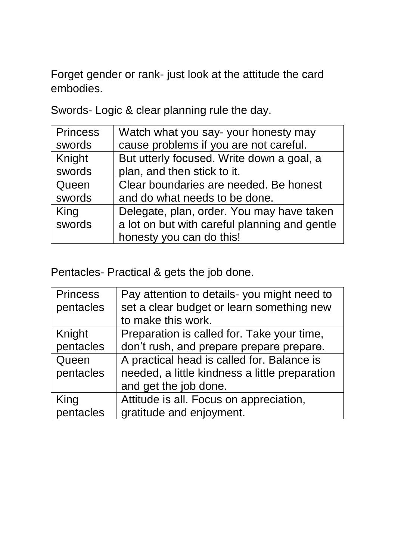Forget gender or rank- just look at the attitude the card embodies.

Swords- Logic & clear planning rule the day.

| <b>Princess</b> | Watch what you say-your honesty may           |
|-----------------|-----------------------------------------------|
| swords          | cause problems if you are not careful.        |
| Knight          | But utterly focused. Write down a goal, a     |
| swords          | plan, and then stick to it.                   |
| Queen           | Clear boundaries are needed. Be honest        |
| swords          | and do what needs to be done.                 |
| King            | Delegate, plan, order. You may have taken     |
| swords          | a lot on but with careful planning and gentle |
|                 | honesty you can do this!                      |

Pentacles- Practical & gets the job done.

| <b>Princess</b> | Pay attention to details-you might need to     |
|-----------------|------------------------------------------------|
| pentacles       | set a clear budget or learn something new      |
|                 | to make this work.                             |
| Knight          | Preparation is called for. Take your time,     |
| pentacles       | don't rush, and prepare prepare prepare.       |
| Queen           | A practical head is called for. Balance is     |
| pentacles       | needed, a little kindness a little preparation |
|                 | and get the job done.                          |
| King            | Attitude is all. Focus on appreciation,        |
| pentacles       | gratitude and enjoyment.                       |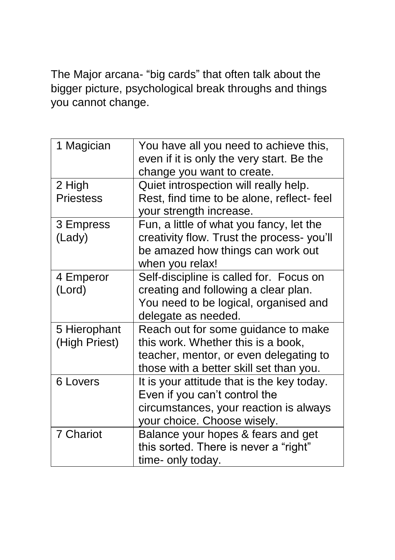The Major arcana- "big cards" that often talk about the bigger picture, psychological break throughs and things you cannot change.

| 1 Magician                    | You have all you need to achieve this,<br>even if it is only the very start. Be the<br>change you want to create.                                              |
|-------------------------------|----------------------------------------------------------------------------------------------------------------------------------------------------------------|
| 2 High<br><b>Priestess</b>    | Quiet introspection will really help.<br>Rest, find time to be alone, reflect-feel<br>your strength increase.                                                  |
| 3 Empress<br>(Lady)           | Fun, a little of what you fancy, let the<br>creativity flow. Trust the process-you'll<br>be amazed how things can work out<br>when you relax!                  |
| 4 Emperor<br>(Lord)           | Self-discipline is called for. Focus on<br>creating and following a clear plan.<br>You need to be logical, organised and<br>delegate as needed.                |
| 5 Hierophant<br>(High Priest) | Reach out for some guidance to make<br>this work. Whether this is a book,<br>teacher, mentor, or even delegating to<br>those with a better skill set than you. |
| 6 Lovers                      | It is your attitude that is the key today.<br>Even if you can't control the<br>circumstances, your reaction is always<br>your choice. Choose wisely.           |
| 7 Chariot                     | Balance your hopes & fears and get<br>this sorted. There is never a "right"<br>time- only today.                                                               |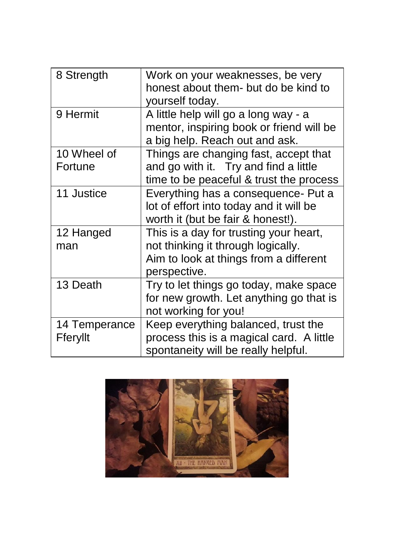| 8 Strength    | Work on your weaknesses, be very         |
|---------------|------------------------------------------|
|               | honest about them- but do be kind to     |
|               | yourself today.                          |
| 9 Hermit      | A little help will go a long way - a     |
|               | mentor, inspiring book or friend will be |
|               | a big help. Reach out and ask.           |
| 10 Wheel of   | Things are changing fast, accept that    |
| Fortune       | and go with it. Try and find a little    |
|               | time to be peaceful & trust the process  |
| 11 Justice    | Everything has a consequence- Put a      |
|               | lot of effort into today and it will be  |
|               | worth it (but be fair & honest!).        |
| 12 Hanged     | This is a day for trusting your heart,   |
| man           | not thinking it through logically.       |
|               | Aim to look at things from a different   |
|               | perspective.                             |
| 13 Death      | Try to let things go today, make space   |
|               | for new growth. Let anything go that is  |
|               | not working for you!                     |
| 14 Temperance | Keep everything balanced, trust the      |
| Fferyllt      | process this is a magical card. A little |
|               | spontaneity will be really helpful.      |

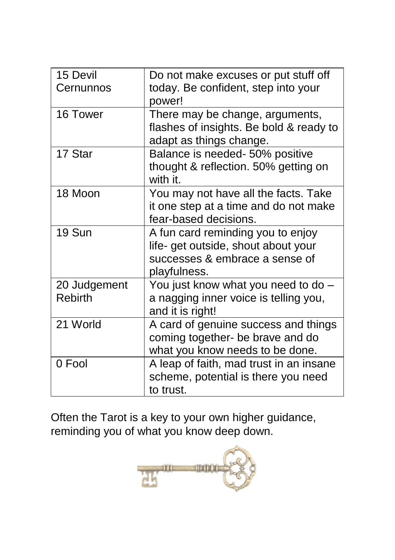| 15 Devil       | Do not make excuses or put stuff off    |
|----------------|-----------------------------------------|
| Cernunnos      | today. Be confident, step into your     |
|                | power!                                  |
| 16 Tower       | There may be change, arguments,         |
|                | flashes of insights. Be bold & ready to |
|                | adapt as things change.                 |
| 17 Star        | Balance is needed- 50% positive         |
|                | thought & reflection. 50% getting on    |
|                | with it.                                |
| 18 Moon        | You may not have all the facts. Take    |
|                | it one step at a time and do not make   |
|                | fear-based decisions.                   |
| 19 Sun         | A fun card reminding you to enjoy       |
|                | life- get outside, shout about your     |
|                | successes & embrace a sense of          |
|                | playfulness.                            |
| 20 Judgement   | You just know what you need to do -     |
| <b>Rebirth</b> | a nagging inner voice is telling you,   |
|                | and it is right!                        |
| 21 World       | A card of genuine success and things    |
|                | coming together- be brave and do        |
|                | what you know needs to be done.         |
| 0 Fool         | A leap of faith, mad trust in an insane |
|                | scheme, potential is there you need     |
|                | to trust.                               |
|                |                                         |

Often the Tarot is a key to your own higher guidance, reminding you of what you know deep down.